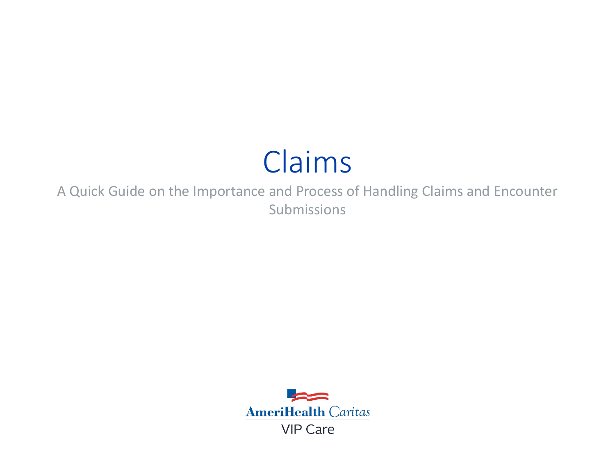# Claims

A Quick Guide on the Importance and Process of Handling Claims and Encounter Submissions

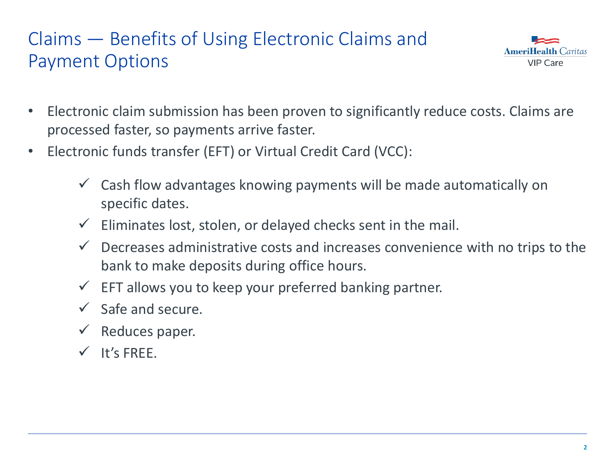# Claims — Benefits of Using Electronic Claims and Payment Options



- Electronic claim submission has been proven to significantly reduce costs. Claims are processed faster, so payments arrive faster.
- Electronic funds transfer (EFT) or Virtual Credit Card (VCC):
	- Cash flow advantages knowing payments will be made automatically on specific dates.
	- $\checkmark$  Eliminates lost, stolen, or delayed checks sent in the mail.
	- $\checkmark$  Decreases administrative costs and increases convenience with no trips to the bank to make deposits during office hours.
	- $\checkmark$  EFT allows you to keep your preferred banking partner.
	- $\checkmark$  Safe and secure.
	- $\checkmark$  Reduces paper.
	- $V$  It's FRFF.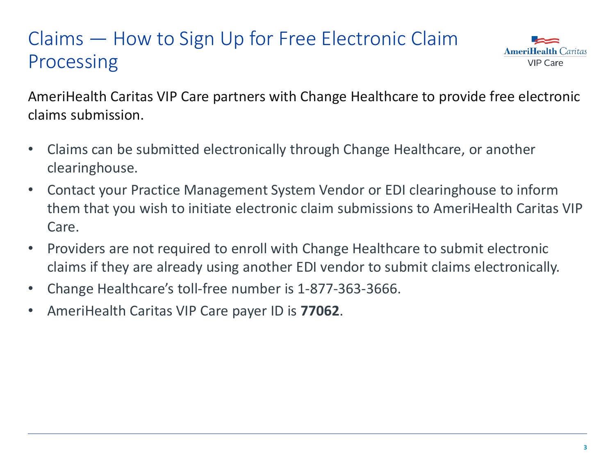# Claims — How to Sign Up for Free Electronic Claim Processing



AmeriHealth Caritas VIP Care partners with Change Healthcare to provide free electronic claims submission.

- Claims can be submitted electronically through Change Healthcare, or another clearinghouse.
- Contact your Practice Management System Vendor or EDI clearinghouse to inform them that you wish to initiate electronic claim submissions to AmeriHealth Caritas VIP Care.
- Providers are not required to enroll with Change Healthcare to submit electronic claims if they are already using another EDI vendor to submit claims electronically.
- Change Healthcare's toll-free number is 1-877-363-3666.
- AmeriHealth Caritas VIP Care payer ID is **77062**.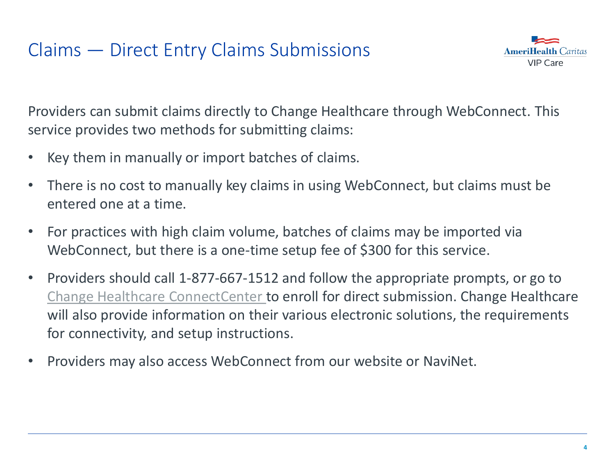#### Claims — Direct Entry Claims Submissions



Providers can submit claims directly to Change Healthcare through WebConnect. This service provides two methods for submitting claims:

- Key them in manually or import batches of claims.
- There is no cost to manually key claims in using WebConnect, but claims must be entered one at a time.
- For practices with high claim volume, batches of claims may be imported via WebConnect, but there is a one-time setup fee of \$300 for this service.
- Providers should call 1-877-667-1512 and follow the appropriate prompts, or go to [Change Healthcare ConnectCenter](https://office.emdeon.com/vendorfiles/amerihealth.html) to enroll for direct submission. Change Healthcare will also provide information on their various electronic solutions, the requirements for connectivity, and setup instructions.
- Providers may also access WebConnect from our website or NaviNet.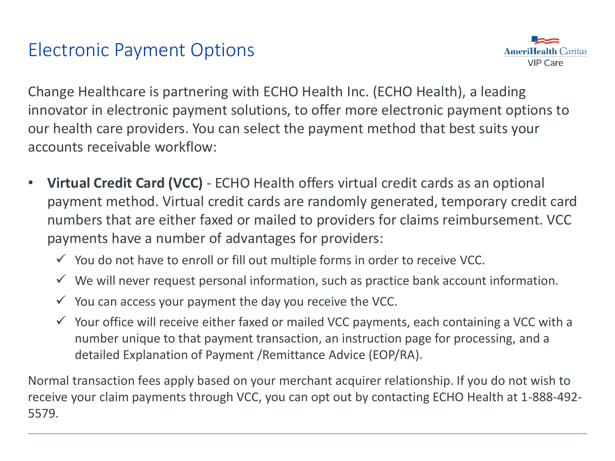#### Electronic Payment Options



Change Healthcare is partnering with ECHO Health Inc. (ECHO Health), a leading innovator in electronic payment solutions, to offer more electronic payment options to our health care providers. You can select the payment method that best suits your accounts receivable workflow:

- **Virtual Credit Card (VCC)**  ECHO Health offers virtual credit cards as an optional payment method. Virtual credit cards are randomly generated, temporary credit card numbers that are either faxed or mailed to providers for claims reimbursement. VCC payments have a number of advantages for providers:
	- $\checkmark$  You do not have to enroll or fill out multiple forms in order to receive VCC.
	- $\checkmark$  We will never request personal information, such as practice bank account information.
	- $\checkmark$  You can access your payment the day you receive the VCC.
	- $\checkmark$  Your office will receive either faxed or mailed VCC payments, each containing a VCC with a number unique to that payment transaction, an instruction page for processing, and a detailed Explanation of Payment /Remittance Advice (EOP/RA).

Normal transaction fees apply based on your merchant acquirer relationship. If you do not wish to receive your claim payments through VCC, you can opt out by contacting ECHO Health at 1-888-492- 5579.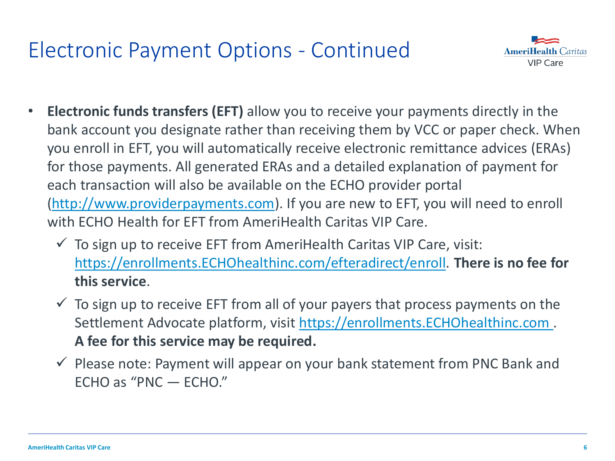# Electronic Payment Options - Continued



- **Electronic funds transfers (EFT)** allow you to receive your payments directly in the bank account you designate rather than receiving them by VCC or paper check. When you enroll in EFT, you will automatically receive electronic remittance advices (ERAs) for those payments. All generated ERAs and a detailed explanation of payment for each transaction will also be available on the ECHO provider portal ([http://www.providerpayments.com\)](http://www.providerpayments.com/). If you are new to EFT, you will need to enroll with ECHO Health for EFT from AmeriHealth Caritas VIP Care.
	- $\checkmark$  To sign up to receive EFT from AmeriHealth Caritas VIP Care, visit: [https://enrollments.ECHOhealthinc.com/efteradirect/enroll](https://enrollments.echohealthinc.com/efteradirect/enroll). **There is no fee for this service**.
	- $\checkmark$  To sign up to receive EFT from all of your payers that process payments on the Settlement Advocate platform, visit [https://enrollments.ECHOhealthinc.com .](https://enrollments.echohealthinc.com/) **A fee for this service may be required.**
	- $\checkmark$  Please note: Payment will appear on your bank statement from PNC Bank and ECHO as "PNC — ECHO."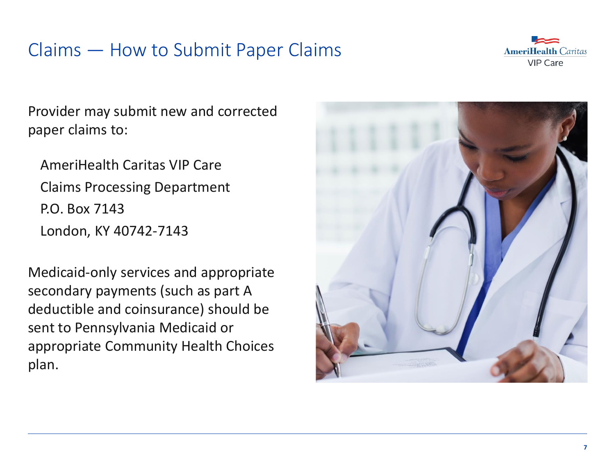#### Claims — How to Submit Paper Claims



Provider may submit new and corrected paper claims to:

AmeriHealth Caritas VIP Care Claims Processing Department P.O. Box 7143 London, KY 40742-7143

Medicaid-only services and appropriate secondary payments (such as part A deductible and coinsurance) should be sent to Pennsylvania Medicaid or appropriate Community Health Choices plan.

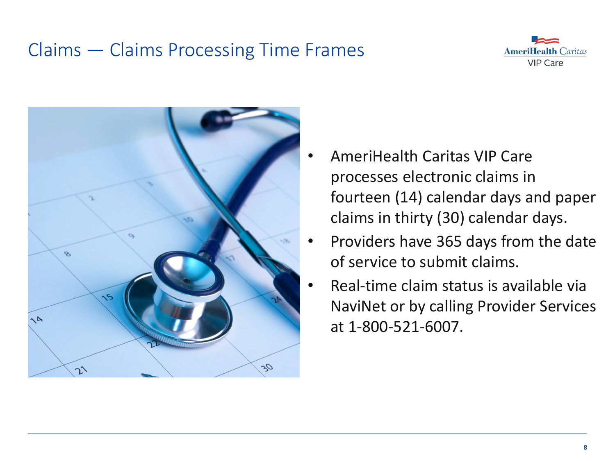### Claims — Claims Processing Time Frames





- AmeriHealth Caritas VIP Care processes electronic claims in fourteen (14) calendar days and paper claims in thirty (30) calendar days.
- Providers have 365 days from the date of service to submit claims.
- Real-time claim status is available via NaviNet or by calling Provider Services at 1-800-521-6007.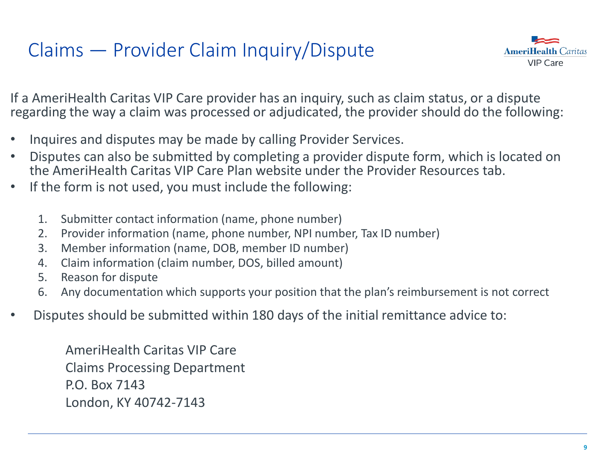# Claims — Provider Claim Inquiry/Dispute



If a AmeriHealth Caritas VIP Care provider has an inquiry, such as claim status, or a dispute regarding the way a claim was processed or adjudicated, the provider should do the following:

- Inquires and disputes may be made by calling Provider Services.
- Disputes can also be submitted by completing a provider dispute form, which is located on the AmeriHealth Caritas VIP Care Plan website under the Provider Resources tab.
- If the form is not used, you must include the following:
	- 1. Submitter contact information (name, phone number)
	- 2. Provider information (name, phone number, NPI number, Tax ID number)
	- 3. Member information (name, DOB, member ID number)
	- 4. Claim information (claim number, DOS, billed amount)
	- 5. Reason for dispute
	- 6. Any documentation which supports your position that the plan's reimbursement is not correct
- Disputes should be submitted within 180 days of the initial remittance advice to:

AmeriHealth Caritas VIP Care Claims Processing Department P.O. Box 7143 London, KY 40742-7143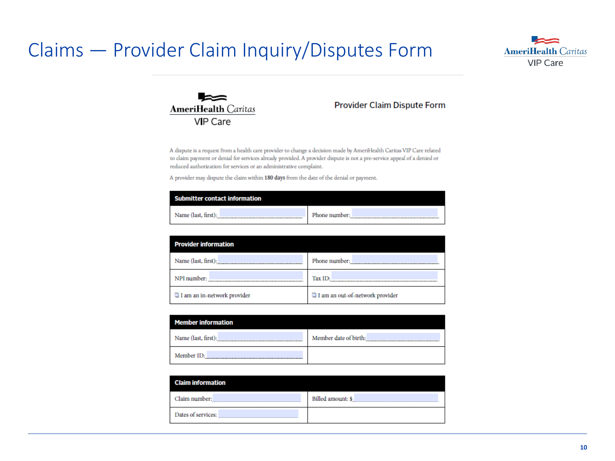#### Claims — Provider Claim Inquiry/Disputes Form





#### **Provider Claim Dispute Form**

A dispute is a request from a health care provider to change a decision made by AmeriHealth Caritas VIP Care related to claim payment or denial for services already provided. A provider dispute is not a pre-service appeal of a denied or reduced authorization for services or an administrative complaint.

A provider may dispute the claim within 180 days from the date of the denial or payment.

| Submitter contact information |               |
|-------------------------------|---------------|
| Name (last, first):           | Phone number: |

| <b>Provider information</b>        |                                 |
|------------------------------------|---------------------------------|
| Name (last, first):                | Phone number:                   |
| NPI number:                        | Tax ID:                         |
| $\Box$ I am an in-network provider | I am an out-of-network provider |

| <b>Member information</b> |                       |
|---------------------------|-----------------------|
| Name (last, first):       | Member date of birth: |
| Member ID:                |                       |

| <b>Claim information</b> |                   |
|--------------------------|-------------------|
| Claim number:            | Billed amount: \$ |
| Dates of services:       |                   |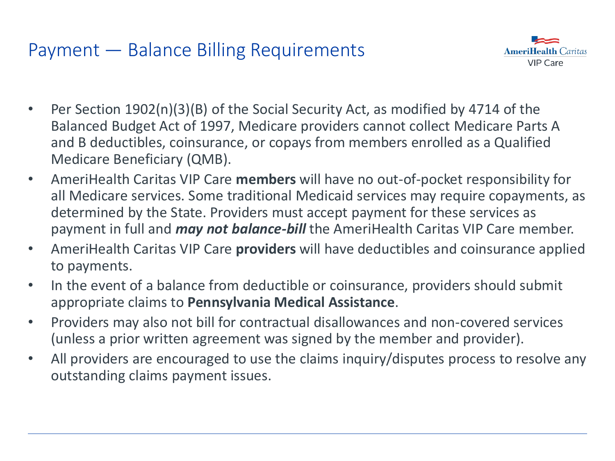#### Payment — Balance Billing Requirements



- Per Section 1902(n)(3)(B) of the Social Security Act, as modified by 4714 of the Balanced Budget Act of 1997, Medicare providers cannot collect Medicare Parts A and B deductibles, coinsurance, or copays from members enrolled as a Qualified Medicare Beneficiary (QMB).
- AmeriHealth Caritas VIP Care **members** will have no out-of-pocket responsibility for all Medicare services. Some traditional Medicaid services may require copayments, as determined by the State. Providers must accept payment for these services as payment in full and *may not balance-bill* the AmeriHealth Caritas VIP Care member.
- AmeriHealth Caritas VIP Care **providers** will have deductibles and coinsurance applied to payments.
- In the event of a balance from deductible or coinsurance, providers should submit appropriate claims to **Pennsylvania Medical Assistance**.
- Providers may also not bill for contractual disallowances and non-covered services (unless a prior written agreement was signed by the member and provider).
- All providers are encouraged to use the claims inquiry/disputes process to resolve any outstanding claims payment issues.